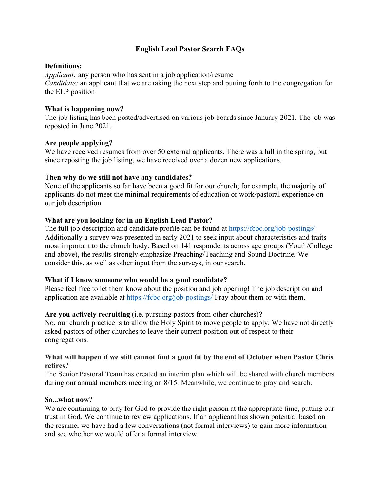# **English Lead Pastor Search FAQs**

## **Definitions:**

*Applicant:* any person who has sent in a job application/resume *Candidate:* an applicant that we are taking the next step and putting forth to the congregation for the ELP position

## **What is happening now?**

The job listing has been posted/advertised on various job boards since January 2021. The job was reposted in June 2021.

## **Are people applying?**

We have received resumes from over 50 external applicants. There was a lull in the spring, but since reposting the job listing, we have received over a dozen new applications.

## **Then why do we still not have any candidates?**

None of the applicants so far have been a good fit for our church; for example, the majority of applicants do not meet the minimal requirements of education or work/pastoral experience on our job description.

## **What are you looking for in an English Lead Pastor?**

The full job description and candidate profile can be found at<https://fcbc.org/job-postings/> Additionally a survey was presented in early 2021 to seek input about characteristics and traits most important to the church body. Based on 141 respondents across age groups (Youth/College and above), the results strongly emphasize Preaching/Teaching and Sound Doctrine. We consider this, as well as other input from the surveys, in our search.

# **What if I know someone who would be a good candidate?**

Please feel free to let them know about the position and job opening! The job description and application are available at<https://fcbc.org/job-postings/> Pray about them or with them.

#### **Are you actively recruiting** (i.e. pursuing pastors from other churches)**?**

No, our church practice is to allow the Holy Spirit to move people to apply. We have not directly asked pastors of other churches to leave their current position out of respect to their congregations.

#### **What will happen if we still cannot find a good fit by the end of October when Pastor Chris retires?**

The Senior Pastoral Team has created an interim plan which will be shared with church members during our annual members meeting on 8/15. Meanwhile, we continue to pray and search.

#### **So...what now?**

We are continuing to pray for God to provide the right person at the appropriate time, putting our trust in God. We continue to review applications. If an applicant has shown potential based on the resume, we have had a few conversations (not formal interviews) to gain more information and see whether we would offer a formal interview.